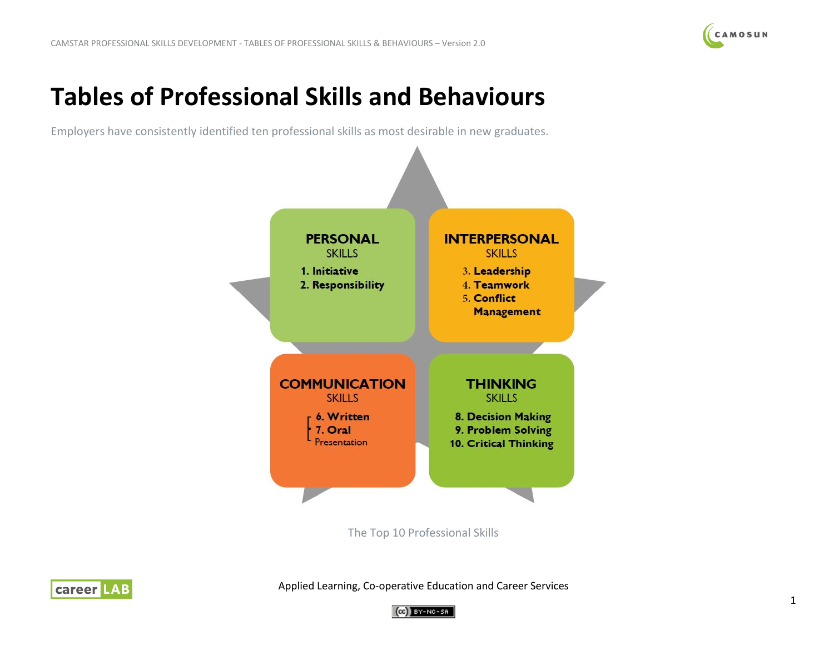

# **Tables of Professional Skills and Behaviours**

Employers have consistently identified ten professional skills as most desirable in new graduates.



The Top 10 Professional Skills



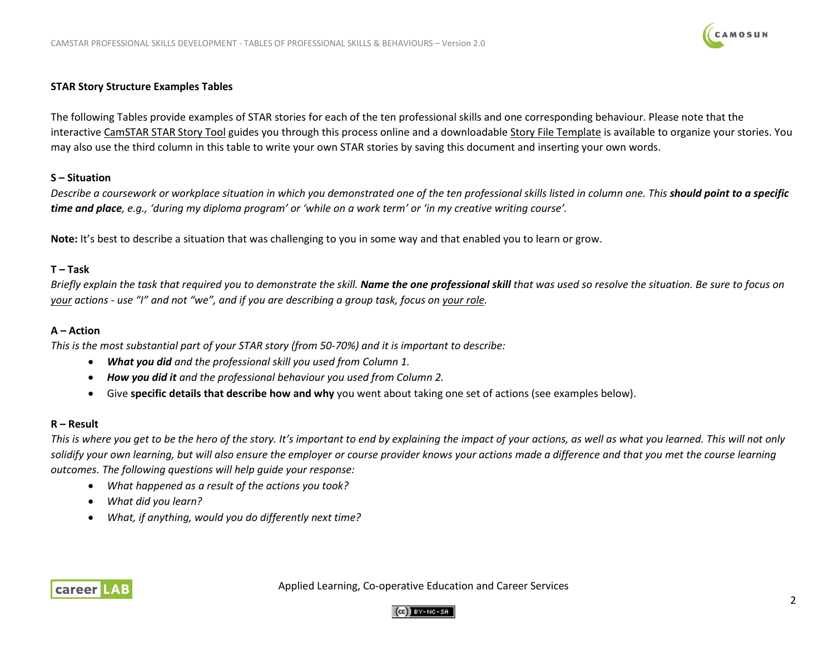# CAMOSUN

## **STAR Story Structure Examples Tables**

The following Tables provide examples of STAR stories for each of the ten professional skills and one corresponding behaviour. Please note that the interactiv[e CamSTAR STAR Story Tool](https://camstar.opened.ca/lessons/4-2-activity-use-the-star-story-tool/) guides you through this process online and a downloadabl[e Story File Template](https://camstar.opened.ca/lessons/4-3-your-reflective-story-file-template/) is available to organize your stories. You may also use the third column in this table to write your own STAR stories by saving this document and inserting your own words.

### **S – Situation**

*Describe a coursework or workplace situation in which you demonstrated one of the ten professional skills listed in column one. This should point to a specific time and place, e.g., 'during my diploma program' or 'while on a work term' or 'in my creative writing course'.*

**Note:** It's best to describe a situation that was challenging to you in some way and that enabled you to learn or grow.

## **T – Task**

*Briefly explain the task that required you to demonstrate the skill. Name the one professional skill that was used so resolve the situation. Be sure to focus on your actions - use "I" and not "we", and if you are describing a group task, focus on your role.*

## **A – Action**

*This is the most substantial part of your STAR story (from 50-70%) and it is important to describe:*

- *What you did and the professional skill you used from Column 1.*
- *How you did it and the professional behaviour you used from Column 2.*
- Give **specific details that describe how and why** you went about taking one set of actions (see examples below).

## **R – Result**

*This is where you get to be the hero of the story. It's important to end by explaining the impact of your actions, as well as what you learned. This will not only solidify your own learning, but will also ensure the employer or course provider knows your actions made a difference and that you met the course learning outcomes. The following questions will help guide your response:*

- *What happened as a result of the actions you took?*
- *What did you learn?*
- *What, if anything, would you do differently next time?*



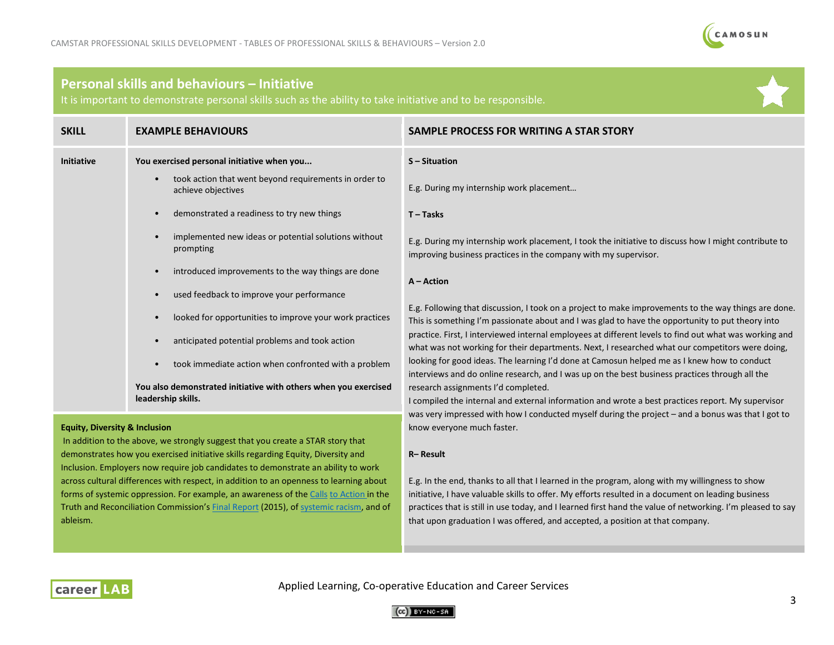

## **Personal skills and behaviours – Initiative**

It is important to demonstrate personal skills such as the ability to take initiative and to be responsible.

| <b>SKILL</b>                                                                                                                | <b>EXAMPLE BEHAVIOURS</b>                                                             | SAMPLE PROCESS FOR WRITING A STAR STORY                                                                                                                                                                   |
|-----------------------------------------------------------------------------------------------------------------------------|---------------------------------------------------------------------------------------|-----------------------------------------------------------------------------------------------------------------------------------------------------------------------------------------------------------|
| <b>Initiative</b>                                                                                                           | You exercised personal initiative when you                                            | S-Situation                                                                                                                                                                                               |
|                                                                                                                             | took action that went beyond requirements in order to<br>achieve objectives           | E.g. During my internship work placement                                                                                                                                                                  |
|                                                                                                                             | demonstrated a readiness to try new things                                            | $T - T$ asks                                                                                                                                                                                              |
|                                                                                                                             | implemented new ideas or potential solutions without<br>prompting                     | E.g. During my internship work placement, I took the initiative to discuss how I might contribute to<br>improving business practices in the company with my supervisor.                                   |
|                                                                                                                             | introduced improvements to the way things are done                                    | $A - Action$                                                                                                                                                                                              |
|                                                                                                                             | used feedback to improve your performance                                             |                                                                                                                                                                                                           |
|                                                                                                                             | looked for opportunities to improve your work practices                               | E.g. Following that discussion, I took on a project to make improvements to the way things are done.<br>This is something I'm passionate about and I was glad to have the opportunity to put theory into  |
|                                                                                                                             | anticipated potential problems and took action                                        | practice. First, I interviewed internal employees at different levels to find out what was working and<br>what was not working for their departments. Next, I researched what our competitors were doing, |
|                                                                                                                             | took immediate action when confronted with a problem                                  | looking for good ideas. The learning I'd done at Camosun helped me as I knew how to conduct<br>interviews and do online research, and I was up on the best business practices through all the             |
|                                                                                                                             | You also demonstrated initiative with others when you exercised<br>leadership skills. | research assignments I'd completed.<br>I compiled the internal and external information and wrote a best practices report. My supervisor                                                                  |
|                                                                                                                             |                                                                                       | was very impressed with how I conducted myself during the project – and a bonus was that I got to<br>know everyone much faster.                                                                           |
| <b>Equity, Diversity &amp; Inclusion</b><br>In addition to the above, we strongly suggest that you create a STAR story that |                                                                                       |                                                                                                                                                                                                           |
| demonstrates how you exercised initiative skills regarding Equity, Diversity and                                            |                                                                                       | R-Result                                                                                                                                                                                                  |
| Inclusion. Employers now require job candidates to demonstrate an ability to work                                           |                                                                                       |                                                                                                                                                                                                           |
| across cultural differences with respect, in addition to an openness to learning about                                      |                                                                                       | E.g. In the end, thanks to all that I learned in the program, along with my willingness to show                                                                                                           |

E.g. In the end, thanks to all that I learned in the program, along with my willingness to show initiative, I have valuable skills to offer. My efforts resulted in a document on leading business practices that is still in use today, and I learned first hand the value of networking. I'm pleased to say that upon graduation I was offered, and accepted, a position at that company. forms of systemic oppression. For example, an awareness of th[e Calls](http://trc.ca/assets/pdf/Calls_to_Action_English2.pdf) [to Action in](http://trc.ca/assets/pdf/Calls_to_Action_English2.pdf) the Truth and Reconciliation Commission'[s Final Report](http://www.trc.ca/assets/pdf/Honouring_the_Truth_Reconciling_for_the_Future_July_23_2015.pdf) (2015), o[f systemic racism,](https://nationalpost.com/news/what-is-systemic-racism-there-is-broad-national-confusion-about-the-concept) and of



ableism.

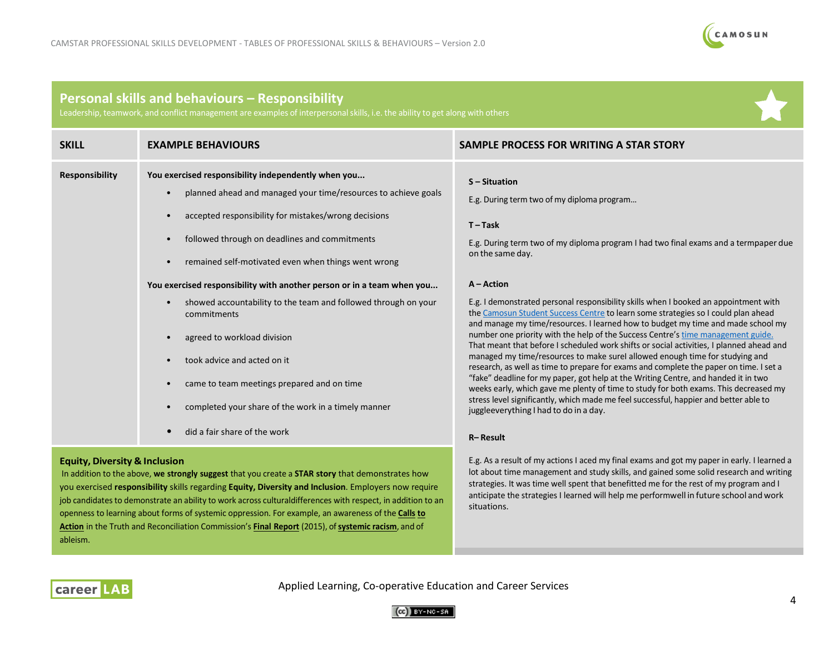

## **Personal skills and behaviours – Responsibility**

Leadership, teamwork, and conflict management are examples of interpersonal skills, i.e. the ability to get along with others

| <b>SKILL</b>          | <b>EXAMPLE BEHAVIOURS</b>                                                                                                                                                                                                                                                             | SAMPLE PROCESS FOR WRITING A STAR STORY                                                                                                                                                                                                                       |
|-----------------------|---------------------------------------------------------------------------------------------------------------------------------------------------------------------------------------------------------------------------------------------------------------------------------------|---------------------------------------------------------------------------------------------------------------------------------------------------------------------------------------------------------------------------------------------------------------|
| <b>Responsibility</b> | You exercised responsibility independently when you<br>planned ahead and managed your time/resources to achieve goals<br>accepted responsibility for mistakes/wrong decisions<br>followed through on deadlines and commitments<br>remained self-motivated even when things went wrong | S-Situation<br>E.g. During term two of my diploma program<br>$T-Task$<br>E.g. During term two of my diploma program I had two final exams and a termpaper due<br>on the same day.                                                                             |
|                       | You exercised responsibility with another person or in a team when you                                                                                                                                                                                                                | $A - Action$                                                                                                                                                                                                                                                  |
|                       | showed accountability to the team and followed through on your<br>commitments                                                                                                                                                                                                         | E.g. I demonstrated personal responsibility skills when I booked an appointment with<br>the Camosun Student Success Centre to learn some strategies so I could plan ahead<br>and manage my time/resources. I learned how to budget my time and made school my |
|                       | agreed to workload division                                                                                                                                                                                                                                                           | number one priority with the help of the Success Centre's time management guide.<br>That meant that before I scheduled work shifts or social activities, I planned ahead and                                                                                  |
|                       | took advice and acted on it                                                                                                                                                                                                                                                           | managed my time/resources to make surel allowed enough time for studying and<br>research, as well as time to prepare for exams and complete the paper on time. I set a                                                                                        |
|                       | came to team meetings prepared and on time                                                                                                                                                                                                                                            | "fake" deadline for my paper, got help at the Writing Centre, and handed it in two<br>weeks early, which gave me plenty of time to study for both exams. This decreased my                                                                                    |
|                       | completed your share of the work in a timely manner                                                                                                                                                                                                                                   | stress level significantly, which made me feel successful, happier and better able to<br>juggleeverything I had to do in a day.                                                                                                                               |
|                       | did a fair share of the work                                                                                                                                                                                                                                                          | R-Result                                                                                                                                                                                                                                                      |
|                       |                                                                                                                                                                                                                                                                                       |                                                                                                                                                                                                                                                               |

#### **Equity, Diversity & Inclusion**

In addition to the above, **we strongly suggest** that you create a **STAR story** that demonstrates how you exercised **responsibility** skills regarding **Equity, Diversity and Inclusion**. Employers now require job candidates to demonstrate an ability to work across culturaldifferences with respect, in addition to an openness to learning about forms of systemic oppression. For example, an awareness of the **[Calls](http://trc.ca/assets/pdf/Calls_to_Action_English2.pdf) [to](http://trc.ca/assets/pdf/Calls_to_Action_English2.pdf) [Action](http://trc.ca/assets/pdf/Calls_to_Action_English2.pdf)** in the Truth and Reconciliation Commission's **Final [Report](http://www.trc.ca/assets/pdf/Honouring_the_Truth_Reconciling_for_the_Future_July_23_2015.pdf)** (2015), of**[systemic](https://nationalpost.com/news/what-is-systemic-racism-there-is-broad-national-confusion-about-the-concept) racism**, and of ableism.

E.g. As a result of my actions I aced my final exams and got my paper in early. I learned a lot about time management and study skills, and gained some solid research and writing strategies. It was time well spent that benefitted me for the rest of my program and I anticipate the strategies I learned will help me performwell in future school and work situations.



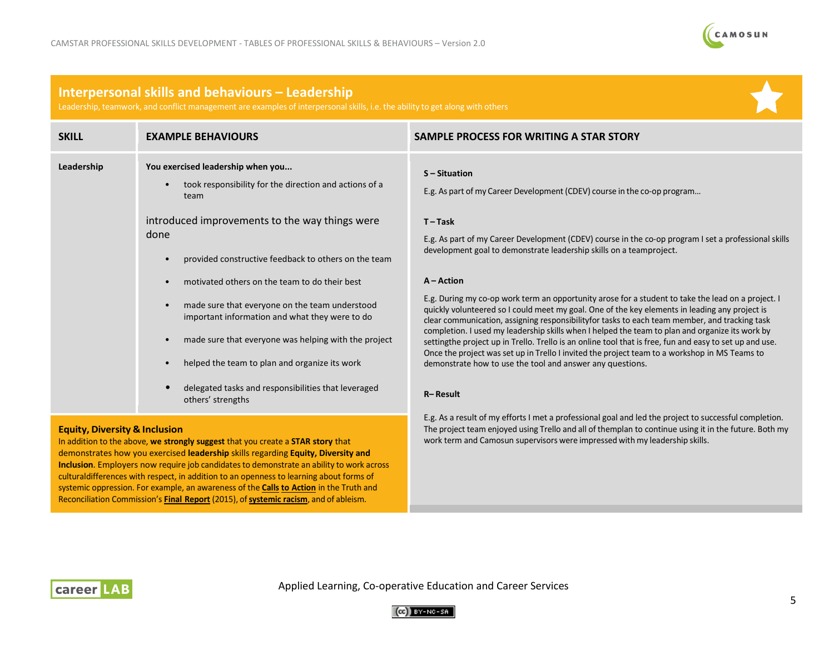

## **Interpersonal skills and behaviours – Leadership**

Leadership, teamwork, and conflict management are examples of interpersonalskills, i.e. the ability to get along with others

| <b>SKILL</b>                                         | <b>EXAMPLE BEHAVIOURS</b>                                                                                                                                                                                   | SAMPLE PROCESS FOR WRITING A STAR STORY                                                                                                                                                                                                                                                                |
|------------------------------------------------------|-------------------------------------------------------------------------------------------------------------------------------------------------------------------------------------------------------------|--------------------------------------------------------------------------------------------------------------------------------------------------------------------------------------------------------------------------------------------------------------------------------------------------------|
| Leadership                                           | You exercised leadership when you<br>took responsibility for the direction and actions of a<br>team                                                                                                         | $S -$ Situation<br>E.g. As part of my Career Development (CDEV) course in the co-op program                                                                                                                                                                                                            |
|                                                      | introduced improvements to the way things were                                                                                                                                                              | $T-Task$                                                                                                                                                                                                                                                                                               |
|                                                      | done                                                                                                                                                                                                        | E.g. As part of my Career Development (CDEV) course in the co-op program I set a professional skills                                                                                                                                                                                                   |
|                                                      | provided constructive feedback to others on the team                                                                                                                                                        | development goal to demonstrate leadership skills on a teamproject.                                                                                                                                                                                                                                    |
|                                                      | motivated others on the team to do their best                                                                                                                                                               | $A - Action$                                                                                                                                                                                                                                                                                           |
|                                                      | made sure that everyone on the team understood<br>important information and what they were to do                                                                                                            | E.g. During my co-op work term an opportunity arose for a student to take the lead on a project. I<br>quickly volunteered so I could meet my goal. One of the key elements in leading any project is<br>clear communication, assigning responsibility for tasks to each team member, and tracking task |
| made sure that everyone was helping with the project | completion. I used my leadership skills when I helped the team to plan and organize its work by<br>setting the project up in Trello. Trello is an online tool that is free, fun and easy to set up and use. |                                                                                                                                                                                                                                                                                                        |
|                                                      | helped the team to plan and organize its work                                                                                                                                                               | Once the project was set up in Trello I invited the project team to a workshop in MS Teams to<br>demonstrate how to use the tool and answer any questions.                                                                                                                                             |
|                                                      | delegated tasks and responsibilities that leveraged<br>others' strengths                                                                                                                                    | R-Result                                                                                                                                                                                                                                                                                               |
| <b>Equity, Diversity &amp; Inclusion</b>             |                                                                                                                                                                                                             | E.g. As a result of my efforts I met a professional goal and led the project to successful completion.<br>The project team enjoyed using Trello and all of themplan to continue using it in the future. Both my                                                                                        |

In addition to the above, **we strongly suggest** that you create a **STAR story** that demonstrates how you exercised **leadership** skills regarding **Equity, Diversity and Inclusion**. Employers now require job candidates to demonstrate an ability to work across culturaldifferences with respect, in addition to an openness to learning about forms of systemic oppression. For example, an awareness of the **[Calls](http://trc.ca/assets/pdf/Calls_to_Action_English2.pdf) to [Action](http://trc.ca/assets/pdf/Calls_to_Action_English2.pdf)** in the Truth and Reconciliation Commission's **Final [Report](http://www.trc.ca/assets/pdf/Honouring_the_Truth_Reconciling_for_the_Future_July_23_2015.pdf)** (2015), of**[systemic](https://nationalpost.com/news/what-is-systemic-racism-there-is-broad-national-confusion-about-the-concept) racism**, and of ableism.

# work term and Camosun supervisors were impressed with my leadership skills.



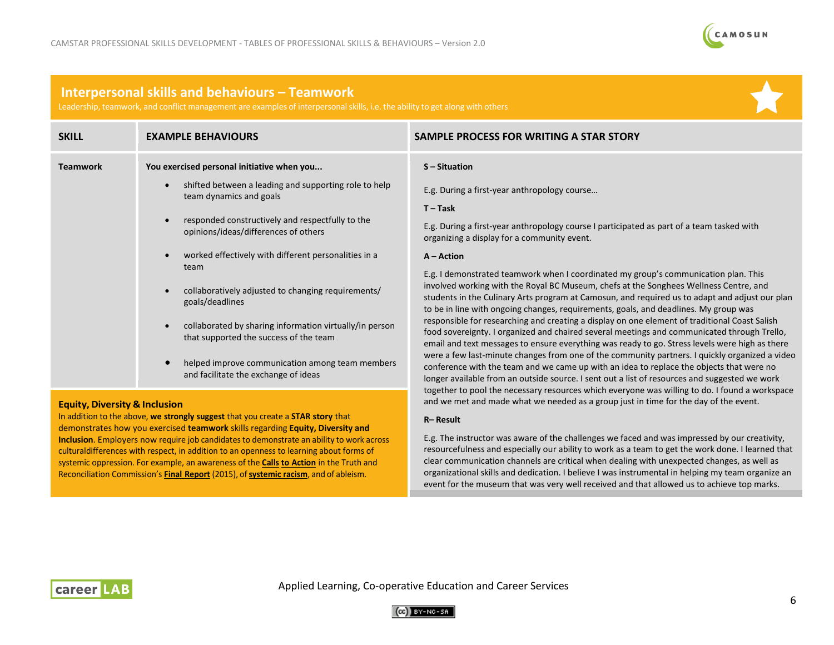

## **Interpersonal skills and behaviours – Teamwork**

Leadership, teamwork, and conflict management are examples of interpersonalskills, i.e. the ability to get along with others

| <b>SKILL</b>    | <b>EXAMPLE BEHAVIOURS</b>                                                                         | SAMPLE PROCESS FOR WRITING A STAR STORY                                                                                                                                                                                                                                                        |
|-----------------|---------------------------------------------------------------------------------------------------|------------------------------------------------------------------------------------------------------------------------------------------------------------------------------------------------------------------------------------------------------------------------------------------------|
| <b>Teamwork</b> | You exercised personal initiative when you                                                        | S-Situation                                                                                                                                                                                                                                                                                    |
|                 | shifted between a leading and supporting role to help<br>team dynamics and goals                  | E.g. During a first-year anthropology course<br>$T-Task$                                                                                                                                                                                                                                       |
|                 | responded constructively and respectfully to the<br>opinions/ideas/differences of others          | E.g. During a first-year anthropology course I participated as part of a team tasked with<br>organizing a display for a community event.                                                                                                                                                       |
|                 | worked effectively with different personalities in a<br>team                                      | $A - Action$<br>E.g. I demonstrated teamwork when I coordinated my group's communication plan. This                                                                                                                                                                                            |
|                 | collaboratively adjusted to changing requirements/<br>goals/deadlines                             | involved working with the Royal BC Museum, chefs at the Songhees Wellness Centre, and<br>students in the Culinary Arts program at Camosun, and required us to adapt and adjust our plan<br>to be in line with ongoing changes, requirements, goals, and deadlines. My group was                |
|                 | collaborated by sharing information virtually/in person<br>that supported the success of the team | responsible for researching and creating a display on one element of traditional Coast Salish<br>food sovereignty. I organized and chaired several meetings and communicated through Trello,<br>email and text messages to ensure everything was ready to go. Stress levels were high as there |
|                 | helped improve communication among team members<br>and facilitate the exchange of ideas           | were a few last-minute changes from one of the community partners. I quickly organized a video<br>conference with the team and we came up with an idea to replace the objects that were no<br>longer available from an outside source. I sent out a list of resources and suggested we work    |

### **Equity, Diversity & Inclusion**

In addition to the above, **we strongly suggest** that you create a **STAR story** that demonstrates how you exercised **teamwork** skills regarding **Equity, Diversity and Inclusion**. Employers now require job candidates to demonstrate an ability to work across culturaldifferences with respect, in addition to an openness to learning about forms of systemic oppression. For example, an awareness of the **[Calls](http://trc.ca/assets/pdf/Calls_to_Action_English2.pdf) to [Action](http://trc.ca/assets/pdf/Calls_to_Action_English2.pdf)** in the Truth and Reconciliation Commission's **Final [Report](http://www.trc.ca/assets/pdf/Honouring_the_Truth_Reconciling_for_the_Future_July_23_2015.pdf)** (2015), of**[systemic](https://nationalpost.com/news/what-is-systemic-racism-there-is-broad-national-confusion-about-the-concept) racism**, and of ableism.

#### **R– Result**

E.g. The instructor was aware of the challenges we faced and was impressed by our creativity, resourcefulness and especially our ability to work as a team to get the work done. I learned that clear communication channels are critical when dealing with unexpected changes, as well as organizational skills and dedication. I believe I was instrumental in helping my team organize an event for the museum that was very well received and that allowed us to achieve top marks.

together to pool the necessary resources which everyone was willing to do. I found a workspace and we met and made what we needed as a group just in time for the day of the event.



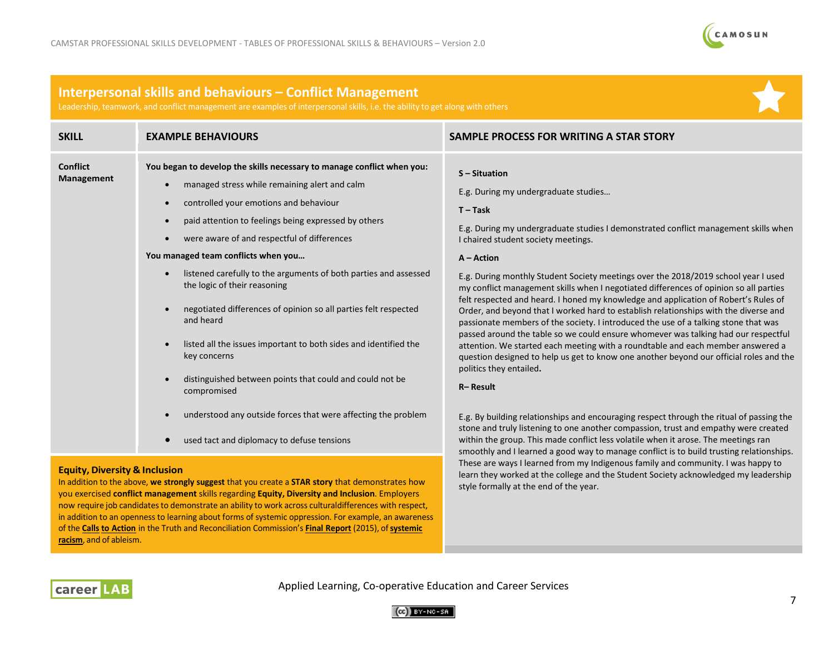

## **Interpersonal skills and behaviours – Conflict Management**

Leadership, teamwork, and conflict management are examples of interpersonalskills, i.e. the ability to get along with others



| <b>SKILL</b>                         | <b>EXAMPLE BEHAVIOURS</b>                                                                                                                                                                                                                                                                                                                                                                                                                                                                                                                                                                                                                                          | SAMPLE PROCESS FOR WRITING A STAR STORY                                                                                                                                                                                                                                                                                                                                                                                                                                                                                                                                                                                                                                                                                                                                                                                                                                                                                                                                        |
|--------------------------------------|--------------------------------------------------------------------------------------------------------------------------------------------------------------------------------------------------------------------------------------------------------------------------------------------------------------------------------------------------------------------------------------------------------------------------------------------------------------------------------------------------------------------------------------------------------------------------------------------------------------------------------------------------------------------|--------------------------------------------------------------------------------------------------------------------------------------------------------------------------------------------------------------------------------------------------------------------------------------------------------------------------------------------------------------------------------------------------------------------------------------------------------------------------------------------------------------------------------------------------------------------------------------------------------------------------------------------------------------------------------------------------------------------------------------------------------------------------------------------------------------------------------------------------------------------------------------------------------------------------------------------------------------------------------|
| <b>Conflict</b><br><b>Management</b> | You began to develop the skills necessary to manage conflict when you:<br>managed stress while remaining alert and calm<br>controlled your emotions and behaviour<br>paid attention to feelings being expressed by others<br>were aware of and respectful of differences<br>You managed team conflicts when you<br>listened carefully to the arguments of both parties and assessed<br>the logic of their reasoning<br>negotiated differences of opinion so all parties felt respected<br>and heard<br>listed all the issues important to both sides and identified the<br>key concerns<br>distinguished between points that could and could not be<br>compromised | S-Situation<br>E.g. During my undergraduate studies<br>$T - Task$<br>E.g. During my undergraduate studies I demonstrated conflict management skills when<br>I chaired student society meetings.<br>$A - Action$<br>E.g. During monthly Student Society meetings over the 2018/2019 school year I used<br>my conflict management skills when I negotiated differences of opinion so all parties<br>felt respected and heard. I honed my knowledge and application of Robert's Rules of<br>Order, and beyond that I worked hard to establish relationships with the diverse and<br>passionate members of the society. I introduced the use of a talking stone that was<br>passed around the table so we could ensure whomever was talking had our respectful<br>attention. We started each meeting with a roundtable and each member answered a<br>question designed to help us get to know one another beyond our official roles and the<br>politics they entailed.<br>R-Result |
|                                      | understood any outside forces that were affecting the problem<br>used tact and diplomacy to defuse tensions                                                                                                                                                                                                                                                                                                                                                                                                                                                                                                                                                        | E.g. By building relationships and encouraging respect through the ritual of passing the<br>stone and truly listening to one another compassion, trust and empathy were created<br>within the group. This made conflict less volatile when it arose. The meetings ran                                                                                                                                                                                                                                                                                                                                                                                                                                                                                                                                                                                                                                                                                                          |
|                                      |                                                                                                                                                                                                                                                                                                                                                                                                                                                                                                                                                                                                                                                                    | smoothly and I learned a good way to manage conflict is to build trusting relationships.<br>These are ways I learned from my Indigenous family and community. I was happy to                                                                                                                                                                                                                                                                                                                                                                                                                                                                                                                                                                                                                                                                                                                                                                                                   |

### **Equity, Diversity & Inclusion**

career LA

In addition to the above, **we strongly suggest** that you create a **STAR story** that demonstrates how you exercised **conflict management** skills regarding **Equity, Diversity and Inclusion**. Employers now require job candidates to demonstrate an ability to work across culturaldifferences with respect, in addition to an openness to learning about forms of systemic oppression. For example, an awareness of the **[Calls](http://trc.ca/assets/pdf/Calls_to_Action_English2.pdf) to [Action](http://trc.ca/assets/pdf/Calls_to_Action_English2.pdf)** in the Truth and Reconciliation Commission's **Final [Report](http://www.trc.ca/assets/pdf/Honouring_the_Truth_Reconciling_for_the_Future_July_23_2015.pdf)** (2015), of**[systemic](https://nationalpost.com/news/what-is-systemic-racism-there-is-broad-national-confusion-about-the-concept) [racism](https://nationalpost.com/news/what-is-systemic-racism-there-is-broad-national-confusion-about-the-concept)**, and of ableism.

Applied Learning, Co-operative Education and Career Services



learn they worked at the college and the Student Society acknowledged my leadership

style formally at the end of the year.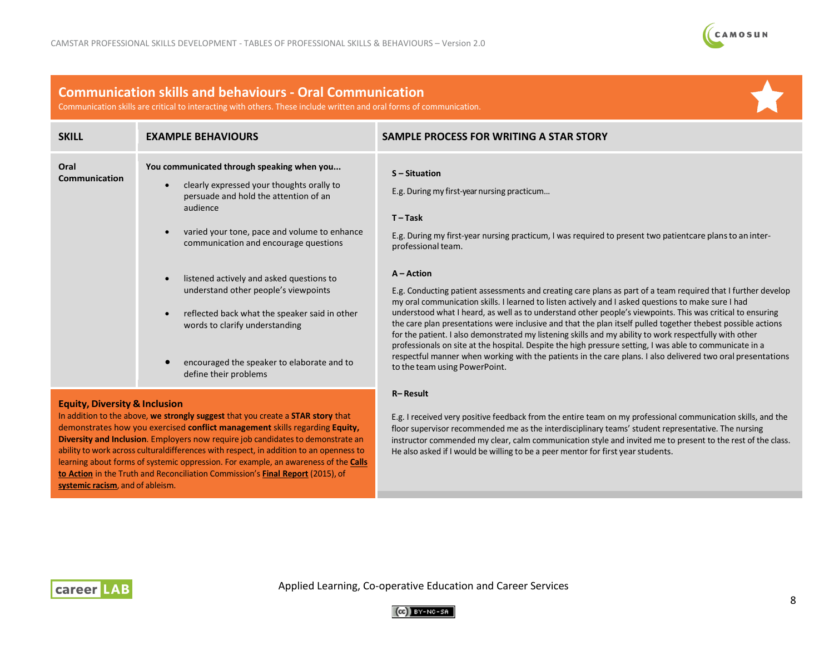

# **Communication skills and behaviours - Oral Communication**

Communication skills are critical to interacting with others. These include written and oral forms of communication.

| <b>SKILL</b>                             | <b>EXAMPLE BEHAVIOURS</b>                                                                                                                                                                                                                                       | SAMPLE PROCESS FOR WRITING A STAR STORY                                                                                                                                                                                                                                                                                                                                                                                                                                                                                                                  |
|------------------------------------------|-----------------------------------------------------------------------------------------------------------------------------------------------------------------------------------------------------------------------------------------------------------------|----------------------------------------------------------------------------------------------------------------------------------------------------------------------------------------------------------------------------------------------------------------------------------------------------------------------------------------------------------------------------------------------------------------------------------------------------------------------------------------------------------------------------------------------------------|
| Oral<br>Communication                    | You communicated through speaking when you<br>clearly expressed your thoughts orally to<br>$\bullet$<br>persuade and hold the attention of an<br>audience<br>varied your tone, pace and volume to enhance<br>$\bullet$<br>communication and encourage questions | S-Situation<br>E.g. During my first-year nursing practicum<br>$T-Task$<br>E.g. During my first-year nursing practicum, I was required to present two patient care plans to an inter-<br>professional team.                                                                                                                                                                                                                                                                                                                                               |
|                                          | listened actively and asked questions to<br>$\bullet$<br>understand other people's viewpoints                                                                                                                                                                   | $A - Action$<br>E.g. Conducting patient assessments and creating care plans as part of a team required that I further develop                                                                                                                                                                                                                                                                                                                                                                                                                            |
|                                          | reflected back what the speaker said in other<br>$\bullet$<br>words to clarify understanding                                                                                                                                                                    | my oral communication skills. I learned to listen actively and I asked questions to make sure I had<br>understood what I heard, as well as to understand other people's viewpoints. This was critical to ensuring<br>the care plan presentations were inclusive and that the plan itself pulled together thebest possible actions<br>for the patient. I also demonstrated my listening skills and my ability to work respectfully with other<br>professionals on site at the hospital. Despite the high pressure setting, I was able to communicate in a |
|                                          | encouraged the speaker to elaborate and to<br>define their problems                                                                                                                                                                                             | respectful manner when working with the patients in the care plans. I also delivered two oral presentations<br>to the team using PowerPoint.                                                                                                                                                                                                                                                                                                                                                                                                             |
| <b>Equity, Diversity &amp; Inclusion</b> |                                                                                                                                                                                                                                                                 | R-Result                                                                                                                                                                                                                                                                                                                                                                                                                                                                                                                                                 |

### In addition to the above, **we strongly suggest** that you create a **STAR story** that demonstrates how you exercised **conflict management** skills regarding **Equity, Diversity and Inclusion**. Employers now require job candidates to demonstrate an ability to work across culturaldifferences with respect, in addition to an openness to learning about forms of systemic oppression. For example, an awareness of the **[Calls](http://trc.ca/assets/pdf/Calls_to_Action_English2.pdf) to [Action](http://trc.ca/assets/pdf/Calls_to_Action_English2.pdf)** in the Truth and Reconciliation Commission's **Final [Report](http://www.trc.ca/assets/pdf/Honouring_the_Truth_Reconciling_for_the_Future_July_23_2015.pdf)** (2015), of **[systemic](https://nationalpost.com/news/what-is-systemic-racism-there-is-broad-national-confusion-about-the-concept) racism**, and of ableism.

#### E.g. I received very positive feedback from the entire team on my professional communication skills, and the floor supervisor recommended me as the interdisciplinary teams' student representative. The nursing instructor commended my clear, calm communication style and invited me to present to the rest of the class. He also asked if I would be willing to be a peer mentor for first year students.



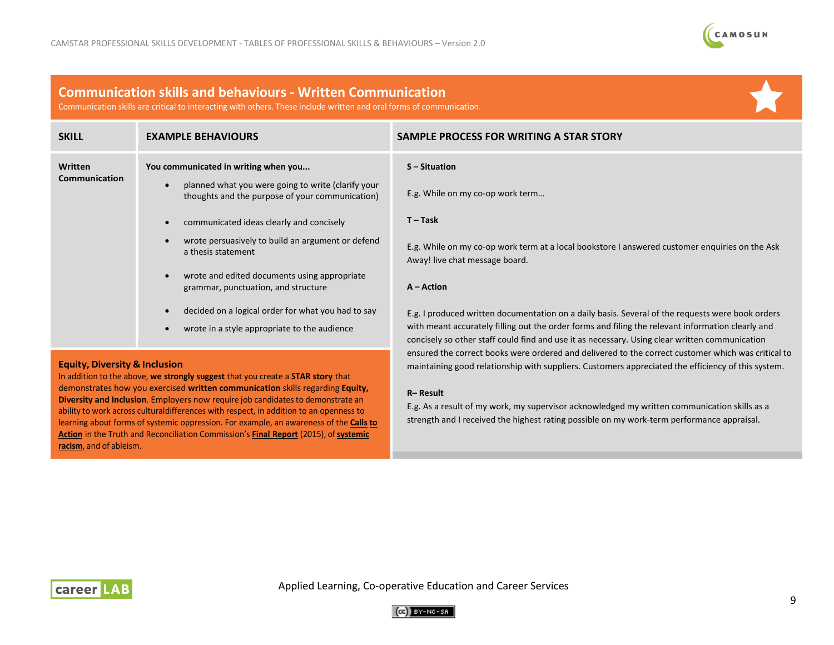

## **Communication skills and behaviours - Written Communication**

Communication skills are critical to interacting with others. These include written and oral forms of communication.

| <b>SKILL</b>                           | <b>EXAMPLE BEHAVIOURS</b>                                                                                          | SAMPLE PROCESS FOR WRITING A STAR STORY                                                                                                                                                                                                                                                                   |
|----------------------------------------|--------------------------------------------------------------------------------------------------------------------|-----------------------------------------------------------------------------------------------------------------------------------------------------------------------------------------------------------------------------------------------------------------------------------------------------------|
| <b>Written</b><br><b>Communication</b> | You communicated in writing when you                                                                               | S-Situation                                                                                                                                                                                                                                                                                               |
|                                        | planned what you were going to write (clarify your<br>$\bullet$<br>thoughts and the purpose of your communication) | E.g. While on my co-op work term                                                                                                                                                                                                                                                                          |
|                                        | communicated ideas clearly and concisely<br>$\bullet$                                                              | $T - Task$                                                                                                                                                                                                                                                                                                |
|                                        | wrote persuasively to build an argument or defend<br>a thesis statement                                            | E.g. While on my co-op work term at a local bookstore I answered customer enquiries on the Ask<br>Away! live chat message board.                                                                                                                                                                          |
|                                        | wrote and edited documents using appropriate<br>grammar, punctuation, and structure                                | $A - Action$                                                                                                                                                                                                                                                                                              |
|                                        | decided on a logical order for what you had to say<br>$\bullet$                                                    | E.g. I produced written documentation on a daily basis. Several of the requests were book orders                                                                                                                                                                                                          |
|                                        | wrote in a style appropriate to the audience                                                                       | with meant accurately filling out the order forms and filing the relevant information clearly and<br>concisely so other staff could find and use it as necessary. Using clear written communication<br>ensured the correct books were ordered and delivered to the correct customer which was critical to |

#### **Equity, Diversity & Inclusion**

In addition to the above, **we strongly suggest** that you create a **STAR story** that demonstrates how you exercised **written communication** skills regarding **Equity, Diversity and Inclusion**. Employers now require job candidates to demonstrate an ability to work across culturaldifferences with respect, in addition to an openness to learning about forms of systemic oppression. For example, an awareness of the **[Calls](http://trc.ca/assets/pdf/Calls_to_Action_English2.pdf) [to](http://trc.ca/assets/pdf/Calls_to_Action_English2.pdf) [Action](http://trc.ca/assets/pdf/Calls_to_Action_English2.pdf)** in the Truth and Reconciliation Commission's **Final [Report](http://www.trc.ca/assets/pdf/Honouring_the_Truth_Reconciling_for_the_Future_July_23_2015.pdf)** (2015), of**[systemic](https://nationalpost.com/news/what-is-systemic-racism-there-is-broad-national-confusion-about-the-concept) [racism](https://nationalpost.com/news/what-is-systemic-racism-there-is-broad-national-confusion-about-the-concept)**, and of ableism.

**R– Result**

E.g. As a result of my work, my supervisor acknowledged my written communication skills as a strength and I received the highest rating possible on my work-term performance appraisal.

maintaining good relationship with suppliers. Customers appreciated the efficiency of this system.



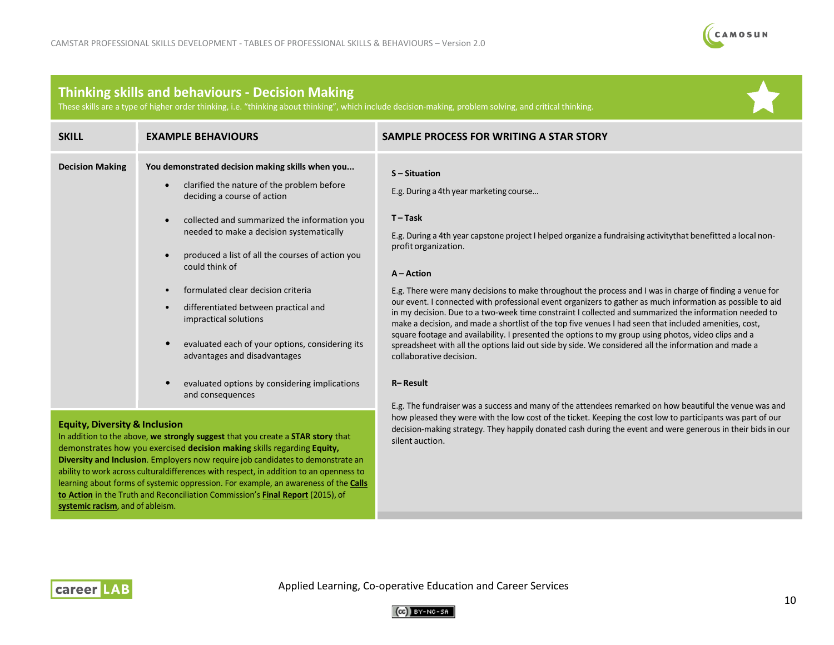

# **Thinking skills and behaviours - Decision Making**

ability to work across culturaldifferences with respect, in addition to an openness to learning about forms of systemic oppression. For example, an awareness of the **[Calls](http://trc.ca/assets/pdf/Calls_to_Action_English2.pdf) to [Action](http://trc.ca/assets/pdf/Calls_to_Action_English2.pdf)** in the Truth and Reconciliation Commission's **Final [Report](http://www.trc.ca/assets/pdf/Honouring_the_Truth_Reconciling_for_the_Future_July_23_2015.pdf)** (2015), of

These skills are a type of higher order thinking, i.e. "thinking about thinking", which include decision-making, problem solving, and critical thinking.

| <b>SKILL</b>                                                                                                                                                                                                                                                                                     | <b>EXAMPLE BEHAVIOURS</b>                                                                                                                                                                                                                                                                                                                                                                                                                                                                                                                                      | SAMPLE PROCESS FOR WRITING A STAR STORY                                                                                                                                                                                                                                                                                                                                                                                                                                                                                                                                                                                                                                                                                                                                                                                                                                                                                                                                                                                                         |
|--------------------------------------------------------------------------------------------------------------------------------------------------------------------------------------------------------------------------------------------------------------------------------------------------|----------------------------------------------------------------------------------------------------------------------------------------------------------------------------------------------------------------------------------------------------------------------------------------------------------------------------------------------------------------------------------------------------------------------------------------------------------------------------------------------------------------------------------------------------------------|-------------------------------------------------------------------------------------------------------------------------------------------------------------------------------------------------------------------------------------------------------------------------------------------------------------------------------------------------------------------------------------------------------------------------------------------------------------------------------------------------------------------------------------------------------------------------------------------------------------------------------------------------------------------------------------------------------------------------------------------------------------------------------------------------------------------------------------------------------------------------------------------------------------------------------------------------------------------------------------------------------------------------------------------------|
| <b>Decision Making</b>                                                                                                                                                                                                                                                                           | You demonstrated decision making skills when you<br>clarified the nature of the problem before<br>deciding a course of action<br>collected and summarized the information you<br>needed to make a decision systematically<br>produced a list of all the courses of action you<br>could think of<br>formulated clear decision criteria<br>differentiated between practical and<br>impractical solutions<br>evaluated each of your options, considering its<br>advantages and disadvantages<br>evaluated options by considering implications<br>and consequences | $S -$ Situation<br>E.g. During a 4th year marketing course<br>$T-Task$<br>E.g. During a 4th year capstone project I helped organize a fundraising activity that benefitted a local non-<br>profit organization.<br>$A - Action$<br>E.g. There were many decisions to make throughout the process and I was in charge of finding a venue for<br>our event. I connected with professional event organizers to gather as much information as possible to aid<br>in my decision. Due to a two-week time constraint I collected and summarized the information needed to<br>make a decision, and made a shortlist of the top five venues I had seen that included amenities, cost,<br>square footage and availability. I presented the options to my group using photos, video clips and a<br>spreadsheet with all the options laid out side by side. We considered all the information and made a<br>collaborative decision.<br>R-Result<br>E.g. The fundraiser was a success and many of the attendees remarked on how beautiful the venue was and |
| <b>Equity, Diversity &amp; Inclusion</b><br>In addition to the above, we strongly suggest that you create a STAR story that<br>demonstrates how you exercised decision making skills regarding Equity,<br><b>Diversity and Inclusion.</b> Employers now require job candidates to demonstrate an |                                                                                                                                                                                                                                                                                                                                                                                                                                                                                                                                                                | how pleased they were with the low cost of the ticket. Keeping the cost low to participants was part of our<br>decision-making strategy. They happily donated cash during the event and were generous in their bids in our<br>silent auction.                                                                                                                                                                                                                                                                                                                                                                                                                                                                                                                                                                                                                                                                                                                                                                                                   |



**[systemic](https://nationalpost.com/news/what-is-systemic-racism-there-is-broad-national-confusion-about-the-concept) racism**, and of ableism.

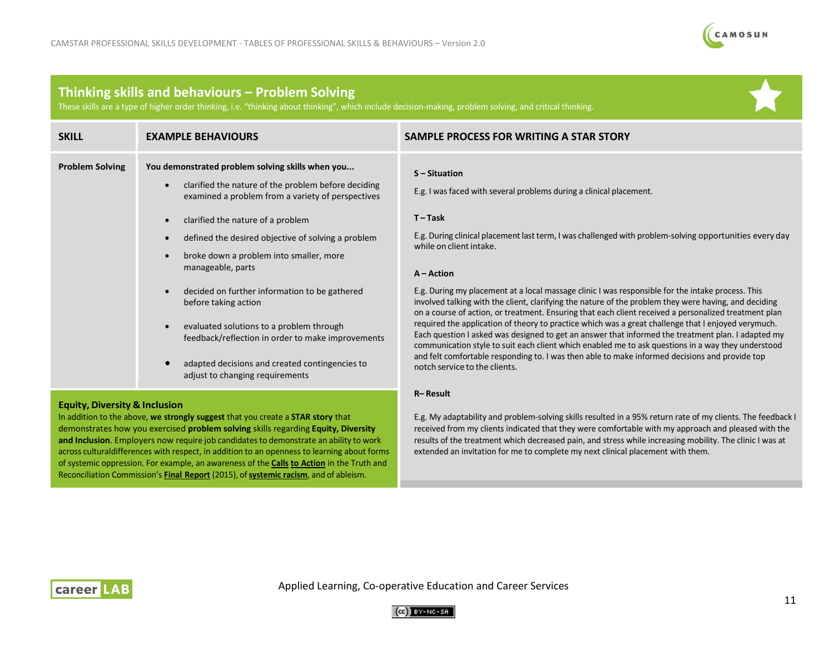

# **Thinking skills and behaviours – Problem Solving**

These skills are a type of higher order thinking, i.e. "thinking about thinking", which include decision-making, problem solving, and critical thinking.

| <b>SKILL</b>           | <b>EXAMPLE BEHAVIOURS</b>                                                                                                                                    | SAMPLE PROCESS FOR WRITING A STAR STORY                                                                                                                                                                                                                                                                             |
|------------------------|--------------------------------------------------------------------------------------------------------------------------------------------------------------|---------------------------------------------------------------------------------------------------------------------------------------------------------------------------------------------------------------------------------------------------------------------------------------------------------------------|
| <b>Problem Solving</b> | You demonstrated problem solving skills when you<br>clarified the nature of the problem before deciding<br>examined a problem from a variety of perspectives | S-Situation<br>E.g. I was faced with several problems during a clinical placement.                                                                                                                                                                                                                                  |
|                        | clarified the nature of a problem                                                                                                                            | $T-Task$                                                                                                                                                                                                                                                                                                            |
|                        | defined the desired objective of solving a problem                                                                                                           | E.g. During clinical placement last term, I was challenged with problem-solving opportunities every day<br>while on client intake.                                                                                                                                                                                  |
|                        | broke down a problem into smaller, more<br>manageable, parts                                                                                                 | $A - Action$                                                                                                                                                                                                                                                                                                        |
|                        | decided on further information to be gathered<br>before taking action                                                                                        | E.g. During my placement at a local massage clinic I was responsible for the intake process. This<br>involved talking with the client, clarifying the nature of the problem they were having, and deciding<br>on a course of action, or treatment. Ensuring that each client received a personalized treatment plan |
|                        | evaluated solutions to a problem through<br>feedback/reflection in order to make improvements                                                                | required the application of theory to practice which was a great challenge that I enjoyed verymuch.<br>Each question I asked was designed to get an answer that informed the treatment plan. I adapted my<br>communication style to suit each client which enabled me to ask questions in a way they understood     |
|                        | adapted decisions and created contingencies to<br>adjust to changing requirements                                                                            | and felt comfortable responding to. I was then able to make informed decisions and provide top<br>notch service to the clients.                                                                                                                                                                                     |

### **Equity, Diversity & Inclusion**

In addition to the above, **we strongly suggest** that you create a **STAR story** that demonstrates how you exercised **problem solving** skills regarding **Equity, Diversity**  and Inclusion. Employers now require job candidates to demonstrate an ability to work across culturaldifferences with respect, in addition to an openness to learning about forms of systemic oppression. For example, an awareness of the **[Calls](http://trc.ca/assets/pdf/Calls_to_Action_English2.pdf) to [Action](http://trc.ca/assets/pdf/Calls_to_Action_English2.pdf)** in the Truth and Reconciliation Commission's **Final [Report](http://www.trc.ca/assets/pdf/Honouring_the_Truth_Reconciling_for_the_Future_July_23_2015.pdf)** (2015), of**[systemic](https://nationalpost.com/news/what-is-systemic-racism-there-is-broad-national-confusion-about-the-concept) racism**, and of ableism.

#### **R– Result**

E.g. My adaptability and problem-solving skills resulted in a 95% return rate of my clients. The feedback I received from my clients indicated that they were comfortable with my approach and pleased with the results of the treatment which decreased pain, and stress while increasing mobility. The clinic I was at extended an invitation for me to complete my next clinical placement with them.